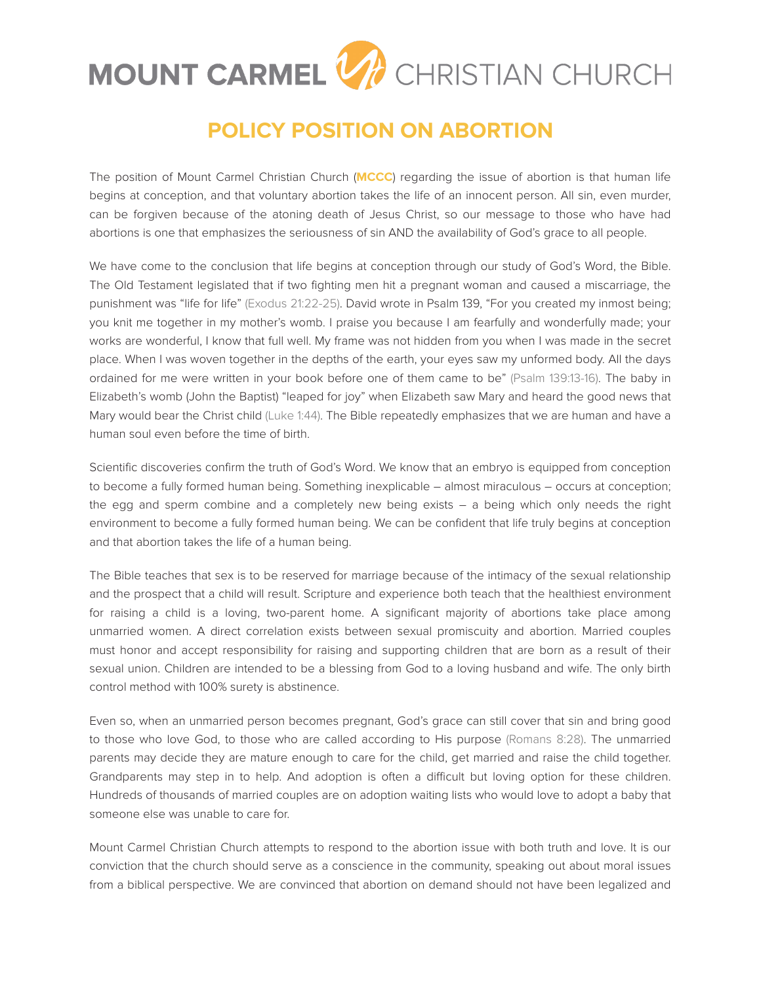## MOUNT CARMEL V CHRISTIAN CHURCH

## **POLICY POSITION ON ABORTION**

The position of Mount Carmel Christian Church (**MCCC**) regarding the issue of abortion is that human life begins at conception, and that voluntary abortion takes the life of an innocent person. All sin, even murder, can be forgiven because of the atoning death of Jesus Christ, so our message to those who have had abortions is one that emphasizes the seriousness of sin AND the availability of God's grace to all people.

We have come to the conclusion that life begins at conception through our study of God's Word, the Bible. The Old Testament legislated that if two fighting men hit a pregnant woman and caused a miscarriage, the punishment was "life for life" (Exodus 21:22-25). David wrote in Psalm 139, "For you created my inmost being; you knit me together in my mother's womb. I praise you because I am fearfully and wonderfully made; your works are wonderful, I know that full well. My frame was not hidden from you when I was made in the secret place. When I was woven together in the depths of the earth, your eyes saw my unformed body. All the days ordained for me were written in your book before one of them came to be" (Psalm 139:13-16). The baby in Elizabeth's womb (John the Baptist) "leaped for joy" when Elizabeth saw Mary and heard the good news that Mary would bear the Christ child (Luke 1:44). The Bible repeatedly emphasizes that we are human and have a human soul even before the time of birth.

Scientific discoveries confirm the truth of God's Word. We know that an embryo is equipped from conception to become a fully formed human being. Something inexplicable – almost miraculous – occurs at conception; the egg and sperm combine and a completely new being exists – a being which only needs the right environment to become a fully formed human being. We can be confident that life truly begins at conception and that abortion takes the life of a human being.

The Bible teaches that sex is to be reserved for marriage because of the intimacy of the sexual relationship and the prospect that a child will result. Scripture and experience both teach that the healthiest environment for raising a child is a loving, two-parent home. A significant majority of abortions take place among unmarried women. A direct correlation exists between sexual promiscuity and abortion. Married couples must honor and accept responsibility for raising and supporting children that are born as a result of their sexual union. Children are intended to be a blessing from God to a loving husband and wife. The only birth control method with 100% surety is abstinence.

Even so, when an unmarried person becomes pregnant, God's grace can still cover that sin and bring good to those who love God, to those who are called according to His purpose (Romans 8:28). The unmarried parents may decide they are mature enough to care for the child, get married and raise the child together. Grandparents may step in to help. And adoption is often a difficult but loving option for these children. Hundreds of thousands of married couples are on adoption waiting lists who would love to adopt a baby that someone else was unable to care for.

Mount Carmel Christian Church attempts to respond to the abortion issue with both truth and love. It is our conviction that the church should serve as a conscience in the community, speaking out about moral issues from a biblical perspective. We are convinced that abortion on demand should not have been legalized and